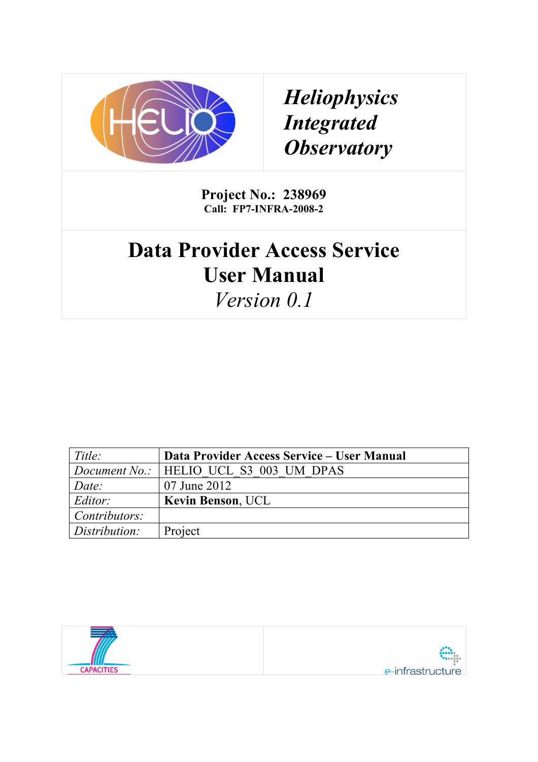

*Heliophysics Integrated Observatory*

**Project No.: 238969 Call: FP7-INFRA-2008-2**

# **Data Provider Access Service User Manual**

*Version 0.1*

| Title:                | Data Provider Access Service – User Manual    |
|-----------------------|-----------------------------------------------|
|                       | <i>Document No.:</i> HELIO UCL S3 003 UM DPAS |
| Date:                 | 07 June 2012                                  |
| Editor:               | <b>Kevin Benson, UCL</b>                      |
| $\vert$ Contributors: |                                               |
| Distribution:         | Project                                       |

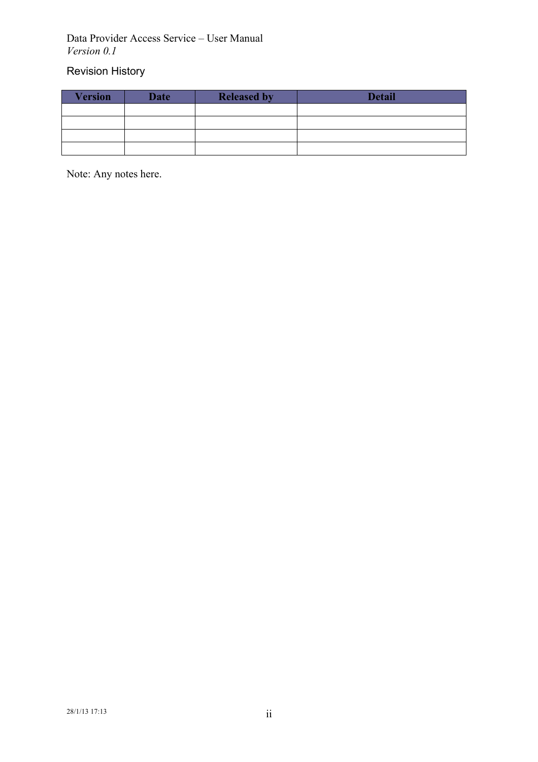#### Data Provider Access Service – User Manual *Version 0.1*

## Revision History

| <b>Version</b> | <b>Date</b> | <b>Released by</b> | <b>Detail</b> |
|----------------|-------------|--------------------|---------------|
|                |             |                    |               |
|                |             |                    |               |
|                |             |                    |               |
|                |             |                    |               |

Note: Any notes here.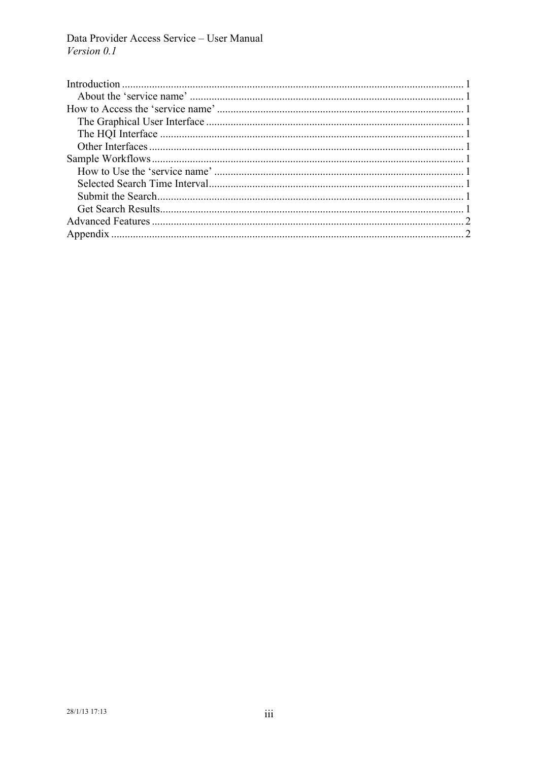Data Provider Access Service - User Manual Version 0.1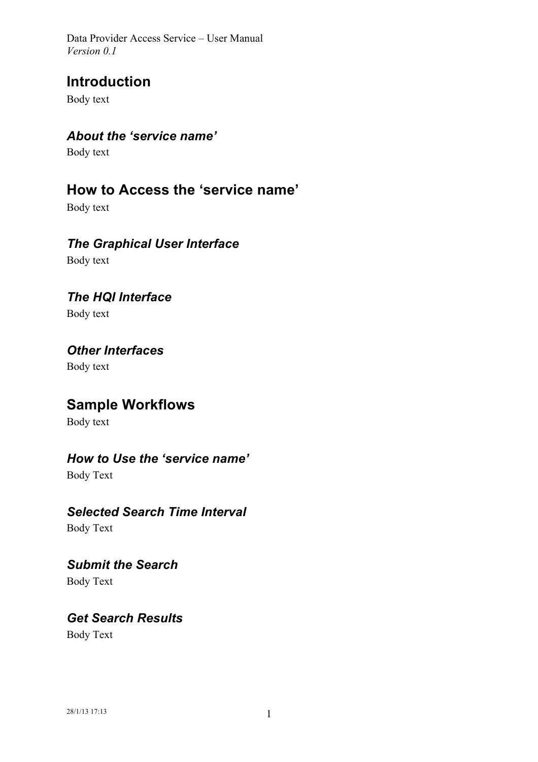Data Provider Access Service – User Manual *Version 0.1*

## **Introduction**

Body text

#### *About the 'service name'*

Body text

## **How to Access the 'service name'**

Body text

#### *The Graphical User Interface*

Body text

#### *The HQI Interface*

Body text

#### *Other Interfaces*

Body text

# **Sample Workflows**

Body text

#### *How to Use the 'service name'*

Body Text

#### *Selected Search Time Interval*

Body Text

#### *Submit the Search* Body Text

*Get Search Results* Body Text